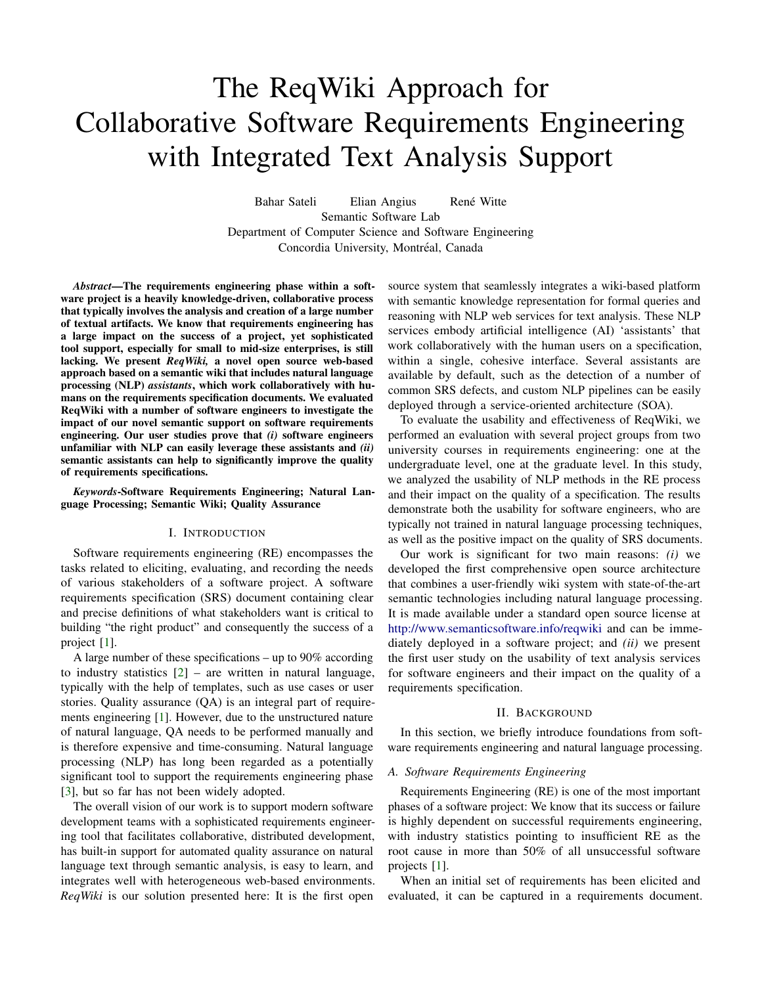# The ReqWiki Approach for Collaborative Software Requirements Engineering with Integrated Text Analysis Support

Bahar Sateli Elian Angius René Witte Semantic Software Lab Department of Computer Science and Software Engineering Concordia University, Montréal, Canada

*Abstract*—The requirements engineering phase within a software project is a heavily knowledge-driven, collaborative process that typically involves the analysis and creation of a large number of textual artifacts. We know that requirements engineering has a large impact on the success of a project, yet sophisticated tool support, especially for small to mid-size enterprises, is still lacking. We present *ReqWiki,* a novel open source web-based approach based on a semantic wiki that includes natural language processing (NLP) *assistants*, which work collaboratively with humans on the requirements specification documents. We evaluated ReqWiki with a number of software engineers to investigate the impact of our novel semantic support on software requirements engineering. Our user studies prove that *(i)* software engineers unfamiliar with NLP can easily leverage these assistants and *(ii)* semantic assistants can help to significantly improve the quality of requirements specifications.

*Keywords*-Software Requirements Engineering; Natural Language Processing; Semantic Wiki; Quality Assurance

#### I. INTRODUCTION

Software requirements engineering (RE) encompasses the tasks related to eliciting, evaluating, and recording the needs of various stakeholders of a software project. A software requirements specification (SRS) document containing clear and precise definitions of what stakeholders want is critical to building "the right product" and consequently the success of a project [\[1\]](#page-9-0).

A large number of these specifications – up to 90% according to industry statistics  $[2]$  – are written in natural language, typically with the help of templates, such as use cases or user stories. Quality assurance (QA) is an integral part of requirements engineering [\[1\]](#page-9-0). However, due to the unstructured nature of natural language, QA needs to be performed manually and is therefore expensive and time-consuming. Natural language processing (NLP) has long been regarded as a potentially significant tool to support the requirements engineering phase [\[3\]](#page-9-2), but so far has not been widely adopted.

The overall vision of our work is to support modern software development teams with a sophisticated requirements engineering tool that facilitates collaborative, distributed development, has built-in support for automated quality assurance on natural language text through semantic analysis, is easy to learn, and integrates well with heterogeneous web-based environments. *ReqWiki* is our solution presented here: It is the first open

source system that seamlessly integrates a wiki-based platform with semantic knowledge representation for formal queries and reasoning with NLP web services for text analysis. These NLP services embody artificial intelligence (AI) 'assistants' that work collaboratively with the human users on a specification, within a single, cohesive interface. Several assistants are available by default, such as the detection of a number of common SRS defects, and custom NLP pipelines can be easily deployed through a service-oriented architecture (SOA).

To evaluate the usability and effectiveness of ReqWiki, we performed an evaluation with several project groups from two university courses in requirements engineering: one at the undergraduate level, one at the graduate level. In this study, we analyzed the usability of NLP methods in the RE process and their impact on the quality of a specification. The results demonstrate both the usability for software engineers, who are typically not trained in natural language processing techniques, as well as the positive impact on the quality of SRS documents.

Our work is significant for two main reasons: *(i)* we developed the first comprehensive open source architecture that combines a user-friendly wiki system with state-of-the-art semantic technologies including natural language processing. It is made available under a standard open source license at <http://www.semanticsoftware.info/reqwiki> and can be immediately deployed in a software project; and *(ii)* we present the first user study on the usability of text analysis services for software engineers and their impact on the quality of a requirements specification.

#### II. BACKGROUND

In this section, we briefly introduce foundations from software requirements engineering and natural language processing.

#### *A. Software Requirements Engineering*

Requirements Engineering (RE) is one of the most important phases of a software project: We know that its success or failure is highly dependent on successful requirements engineering, with industry statistics pointing to insufficient RE as the root cause in more than 50% of all unsuccessful software projects [\[1\]](#page-9-0).

When an initial set of requirements has been elicited and evaluated, it can be captured in a requirements document.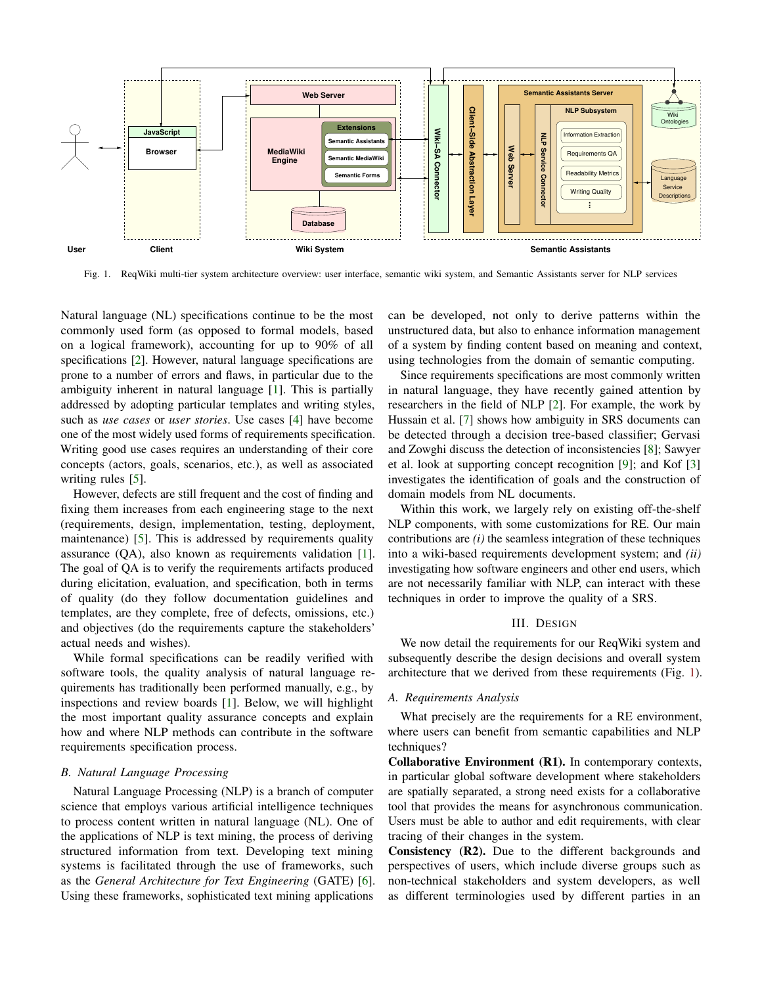

<span id="page-1-0"></span>Fig. 1. ReqWiki multi-tier system architecture overview: user interface, semantic wiki system, and Semantic Assistants server for NLP services

Natural language (NL) specifications continue to be the most commonly used form (as opposed to formal models, based on a logical framework), accounting for up to 90% of all specifications [\[2\]](#page-9-1). However, natural language specifications are prone to a number of errors and flaws, in particular due to the ambiguity inherent in natural language [\[1\]](#page-9-0). This is partially addressed by adopting particular templates and writing styles, such as *use cases* or *user stories*. Use cases [\[4\]](#page-9-3) have become one of the most widely used forms of requirements specification. Writing good use cases requires an understanding of their core concepts (actors, goals, scenarios, etc.), as well as associated writing rules [\[5\]](#page-9-4).

However, defects are still frequent and the cost of finding and fixing them increases from each engineering stage to the next (requirements, design, implementation, testing, deployment, maintenance) [\[5\]](#page-9-4). This is addressed by requirements quality assurance (QA), also known as requirements validation [\[1\]](#page-9-0). The goal of QA is to verify the requirements artifacts produced during elicitation, evaluation, and specification, both in terms of quality (do they follow documentation guidelines and templates, are they complete, free of defects, omissions, etc.) and objectives (do the requirements capture the stakeholders' actual needs and wishes).

While formal specifications can be readily verified with software tools, the quality analysis of natural language requirements has traditionally been performed manually, e.g., by inspections and review boards [\[1\]](#page-9-0). Below, we will highlight the most important quality assurance concepts and explain how and where NLP methods can contribute in the software requirements specification process.

# *B. Natural Language Processing*

Natural Language Processing (NLP) is a branch of computer science that employs various artificial intelligence techniques to process content written in natural language (NL). One of the applications of NLP is text mining, the process of deriving structured information from text. Developing text mining systems is facilitated through the use of frameworks, such as the *General Architecture for Text Engineering* (GATE) [\[6\]](#page-9-5). Using these frameworks, sophisticated text mining applications

can be developed, not only to derive patterns within the unstructured data, but also to enhance information management of a system by finding content based on meaning and context, using technologies from the domain of semantic computing.

Since requirements specifications are most commonly written in natural language, they have recently gained attention by researchers in the field of NLP [\[2\]](#page-9-1). For example, the work by Hussain et al. [\[7\]](#page-9-6) shows how ambiguity in SRS documents can be detected through a decision tree-based classifier; Gervasi and Zowghi discuss the detection of inconsistencies [\[8\]](#page-9-7); Sawyer et al. look at supporting concept recognition [\[9\]](#page-9-8); and Kof [\[3\]](#page-9-2) investigates the identification of goals and the construction of domain models from NL documents.

Within this work, we largely rely on existing off-the-shelf NLP components, with some customizations for RE. Our main contributions are *(i)* the seamless integration of these techniques into a wiki-based requirements development system; and *(ii)* investigating how software engineers and other end users, which are not necessarily familiar with NLP, can interact with these techniques in order to improve the quality of a SRS.

#### III. DESIGN

We now detail the requirements for our ReqWiki system and subsequently describe the design decisions and overall system architecture that we derived from these requirements (Fig. [1\)](#page-1-0).

#### *A. Requirements Analysis*

What precisely are the requirements for a RE environment, where users can benefit from semantic capabilities and NLP techniques?

Collaborative Environment (R1). In contemporary contexts, in particular global software development where stakeholders are spatially separated, a strong need exists for a collaborative tool that provides the means for asynchronous communication. Users must be able to author and edit requirements, with clear tracing of their changes in the system.

Consistency (R2). Due to the different backgrounds and perspectives of users, which include diverse groups such as non-technical stakeholders and system developers, as well as different terminologies used by different parties in an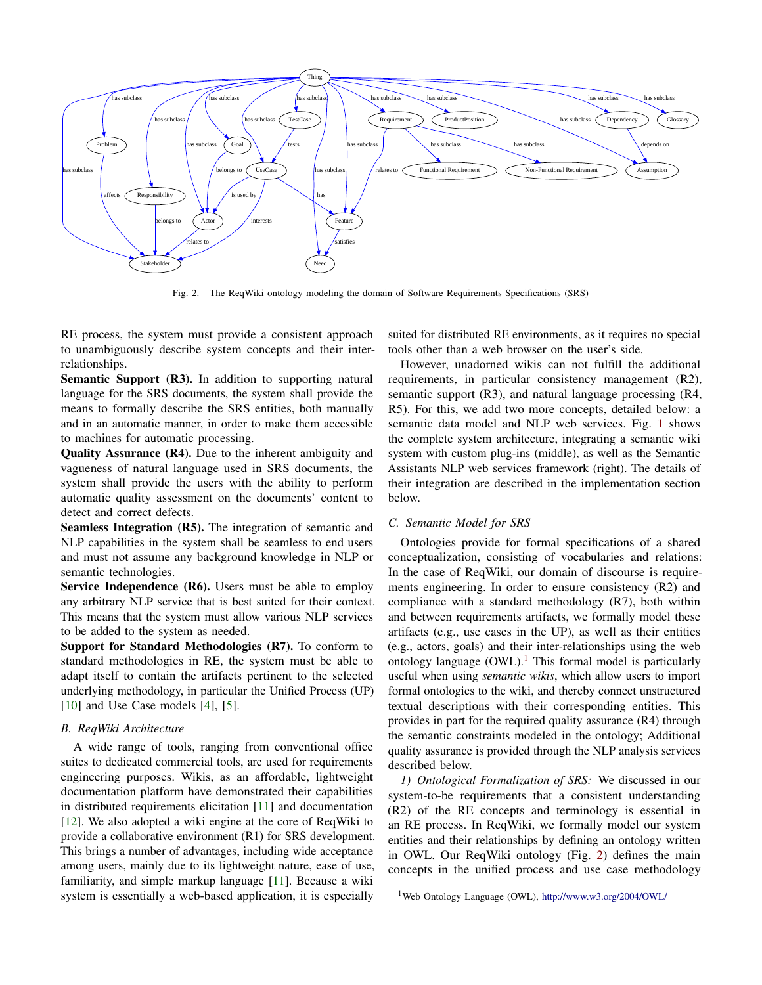

<span id="page-2-1"></span>Fig. 2. The ReqWiki ontology modeling the domain of Software Requirements Specifications (SRS)

RE process, the system must provide a consistent approach to unambiguously describe system concepts and their interrelationships.

Semantic Support (R3). In addition to supporting natural language for the SRS documents, the system shall provide the means to formally describe the SRS entities, both manually and in an automatic manner, in order to make them accessible to machines for automatic processing.

Quality Assurance (R4). Due to the inherent ambiguity and vagueness of natural language used in SRS documents, the system shall provide the users with the ability to perform automatic quality assessment on the documents' content to detect and correct defects.

Seamless Integration (R5). The integration of semantic and NLP capabilities in the system shall be seamless to end users and must not assume any background knowledge in NLP or semantic technologies.

Service Independence (R6). Users must be able to employ any arbitrary NLP service that is best suited for their context. This means that the system must allow various NLP services to be added to the system as needed.

Support for Standard Methodologies (R7). To conform to standard methodologies in RE, the system must be able to adapt itself to contain the artifacts pertinent to the selected underlying methodology, in particular the Unified Process (UP) [\[10\]](#page-9-9) and Use Case models [\[4\]](#page-9-3), [\[5\]](#page-9-4).

#### *B. ReqWiki Architecture*

A wide range of tools, ranging from conventional office suites to dedicated commercial tools, are used for requirements engineering purposes. Wikis, as an affordable, lightweight documentation platform have demonstrated their capabilities in distributed requirements elicitation [\[11\]](#page-9-10) and documentation [\[12\]](#page-9-11). We also adopted a wiki engine at the core of ReqWiki to provide a collaborative environment (R1) for SRS development. This brings a number of advantages, including wide acceptance among users, mainly due to its lightweight nature, ease of use, familiarity, and simple markup language [\[11\]](#page-9-10). Because a wiki system is essentially a web-based application, it is especially

suited for distributed RE environments, as it requires no special tools other than a web browser on the user's side.

However, unadorned wikis can not fulfill the additional requirements, in particular consistency management (R2), semantic support (R3), and natural language processing (R4, R5). For this, we add two more concepts, detailed below: a semantic data model and NLP web services. Fig. [1](#page-1-0) shows the complete system architecture, integrating a semantic wiki system with custom plug-ins (middle), as well as the Semantic Assistants NLP web services framework (right). The details of their integration are described in the implementation section below.

# *C. Semantic Model for SRS*

Ontologies provide for formal specifications of a shared conceptualization, consisting of vocabularies and relations: In the case of ReqWiki, our domain of discourse is requirements engineering. In order to ensure consistency (R2) and compliance with a standard methodology (R7), both within and between requirements artifacts, we formally model these artifacts (e.g., use cases in the UP), as well as their entities (e.g., actors, goals) and their inter-relationships using the web ontology language  $(OWL)$ .<sup>[1](#page-2-0)</sup> This formal model is particularly useful when using *semantic wikis*, which allow users to import formal ontologies to the wiki, and thereby connect unstructured textual descriptions with their corresponding entities. This provides in part for the required quality assurance (R4) through the semantic constraints modeled in the ontology; Additional quality assurance is provided through the NLP analysis services described below.

<span id="page-2-2"></span>*1) Ontological Formalization of SRS:* We discussed in our system-to-be requirements that a consistent understanding (R2) of the RE concepts and terminology is essential in an RE process. In ReqWiki, we formally model our system entities and their relationships by defining an ontology written in OWL. Our ReqWiki ontology (Fig. [2\)](#page-2-1) defines the main concepts in the unified process and use case methodology

<span id="page-2-0"></span><sup>1</sup>Web Ontology Language (OWL), <http://www.w3.org/2004/OWL/>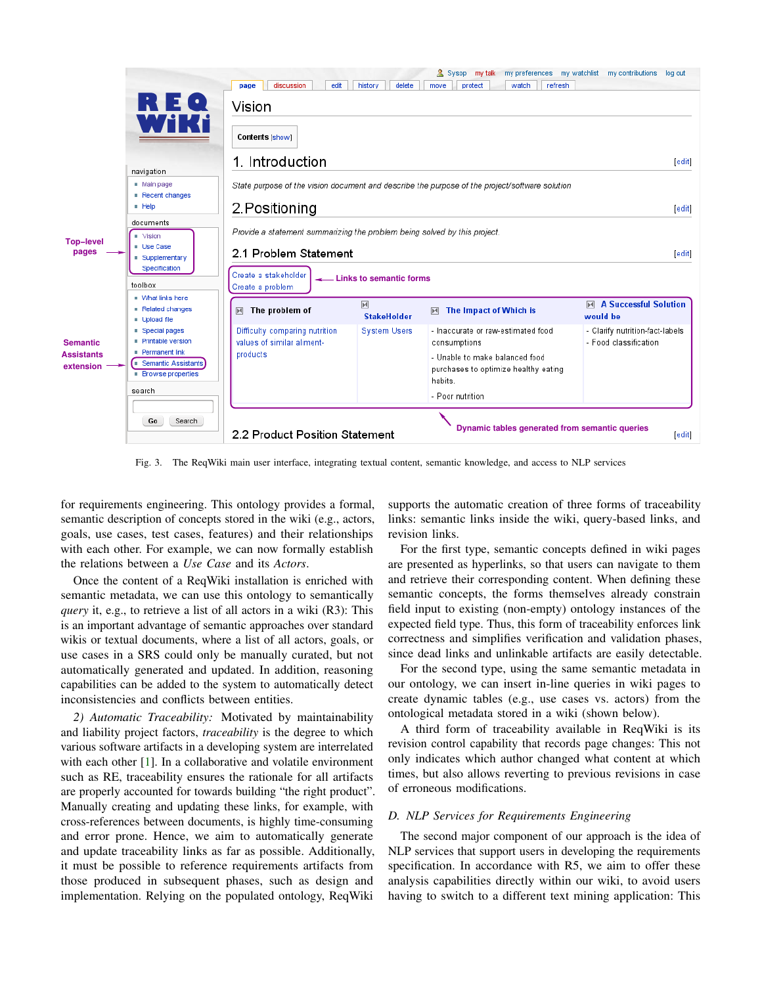

Fig. 3. The ReqWiki main user interface, integrating textual content, semantic knowledge, and access to NLP services

<span id="page-3-0"></span>for requirements engineering. This ontology provides a formal, semantic description of concepts stored in the wiki (e.g., actors, goals, use cases, test cases, features) and their relationships with each other. For example, we can now formally establish the relations between a *Use Case* and its *Actors*.

Once the content of a ReqWiki installation is enriched with semantic metadata, we can use this ontology to semantically *query* it, e.g., to retrieve a list of all actors in a wiki (R3): This is an important advantage of semantic approaches over standard wikis or textual documents, where a list of all actors, goals, or use cases in a SRS could only be manually curated, but not automatically generated and updated. In addition, reasoning capabilities can be added to the system to automatically detect inconsistencies and conflicts between entities.

<span id="page-3-1"></span>*2) Automatic Traceability:* Motivated by maintainability and liability project factors, *traceability* is the degree to which various software artifacts in a developing system are interrelated with each other [\[1\]](#page-9-0). In a collaborative and volatile environment such as RE, traceability ensures the rationale for all artifacts are properly accounted for towards building "the right product". Manually creating and updating these links, for example, with cross-references between documents, is highly time-consuming and error prone. Hence, we aim to automatically generate and update traceability links as far as possible. Additionally, it must be possible to reference requirements artifacts from those produced in subsequent phases, such as design and implementation. Relying on the populated ontology, ReqWiki

supports the automatic creation of three forms of traceability links: semantic links inside the wiki, query-based links, and revision links.

For the first type, semantic concepts defined in wiki pages are presented as hyperlinks, so that users can navigate to them and retrieve their corresponding content. When defining these semantic concepts, the forms themselves already constrain field input to existing (non-empty) ontology instances of the expected field type. Thus, this form of traceability enforces link correctness and simplifies verification and validation phases, since dead links and unlinkable artifacts are easily detectable.

For the second type, using the same semantic metadata in our ontology, we can insert in-line queries in wiki pages to create dynamic tables (e.g., use cases vs. actors) from the ontological metadata stored in a wiki (shown below).

A third form of traceability available in ReqWiki is its revision control capability that records page changes: This not only indicates which author changed what content at which times, but also allows reverting to previous revisions in case of erroneous modifications.

# *D. NLP Services for Requirements Engineering*

The second major component of our approach is the idea of NLP services that support users in developing the requirements specification. In accordance with R5, we aim to offer these analysis capabilities directly within our wiki, to avoid users having to switch to a different text mining application: This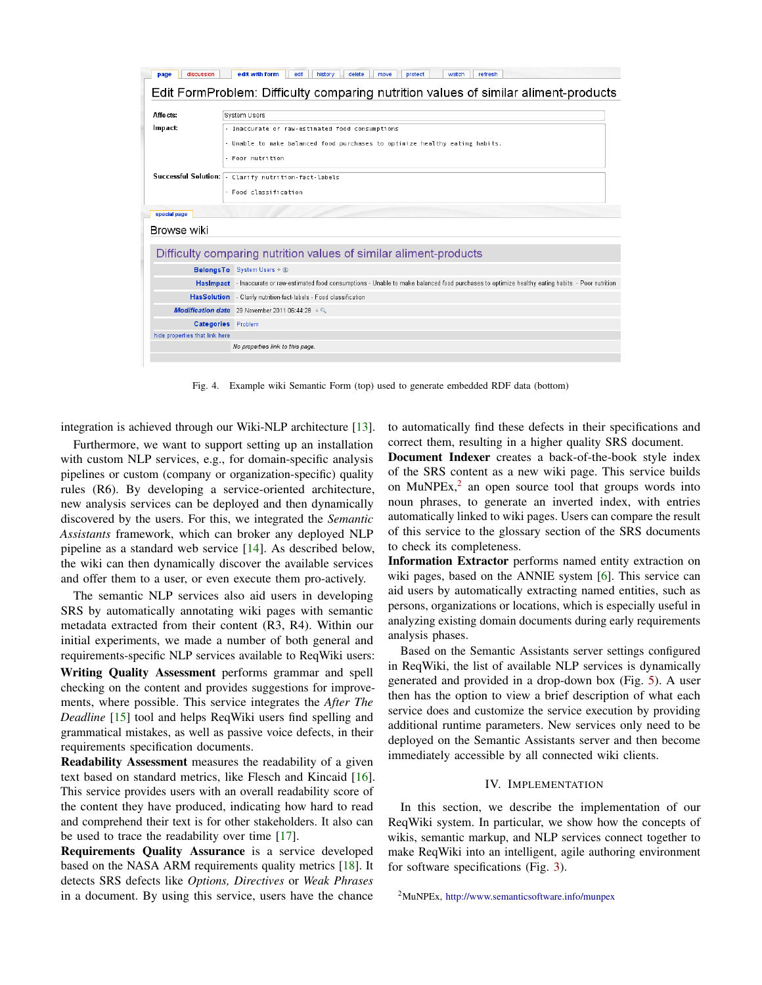

<span id="page-4-1"></span>Fig. 4. Example wiki Semantic Form (top) used to generate embedded RDF data (bottom)

integration is achieved through our Wiki-NLP architecture [\[13\]](#page-9-12).

Furthermore, we want to support setting up an installation with custom NLP services, e.g., for domain-specific analysis pipelines or custom (company or organization-specific) quality rules (R6). By developing a service-oriented architecture, new analysis services can be deployed and then dynamically discovered by the users. For this, we integrated the *Semantic Assistants* framework, which can broker any deployed NLP pipeline as a standard web service [\[14\]](#page-9-13). As described below, the wiki can then dynamically discover the available services and offer them to a user, or even execute them pro-actively.

The semantic NLP services also aid users in developing SRS by automatically annotating wiki pages with semantic metadata extracted from their content (R3, R4). Within our initial experiments, we made a number of both general and requirements-specific NLP services available to ReqWiki users:

Writing Quality Assessment performs grammar and spell checking on the content and provides suggestions for improvements, where possible. This service integrates the *After The Deadline* [\[15\]](#page-9-14) tool and helps ReqWiki users find spelling and grammatical mistakes, as well as passive voice defects, in their requirements specification documents.

Readability Assessment measures the readability of a given text based on standard metrics, like Flesch and Kincaid [\[16\]](#page-9-15). This service provides users with an overall readability score of the content they have produced, indicating how hard to read and comprehend their text is for other stakeholders. It also can be used to trace the readability over time [\[17\]](#page-9-16).

Requirements Quality Assurance is a service developed based on the NASA ARM requirements quality metrics [\[18\]](#page-9-17). It detects SRS defects like *Options, Directives* or *Weak Phrases* in a document. By using this service, users have the chance

to automatically find these defects in their specifications and correct them, resulting in a higher quality SRS document.

Document Indexer creates a back-of-the-book style index of the SRS content as a new wiki page. This service builds on MuNPEx, $<sup>2</sup>$  $<sup>2</sup>$  $<sup>2</sup>$  an open source tool that groups words into</sup> noun phrases, to generate an inverted index, with entries automatically linked to wiki pages. Users can compare the result of this service to the glossary section of the SRS documents to check its completeness.

Information Extractor performs named entity extraction on wiki pages, based on the ANNIE system [\[6\]](#page-9-5). This service can aid users by automatically extracting named entities, such as persons, organizations or locations, which is especially useful in analyzing existing domain documents during early requirements analysis phases.

Based on the Semantic Assistants server settings configured in ReqWiki, the list of available NLP services is dynamically generated and provided in a drop-down box (Fig. [5\)](#page-5-0). A user then has the option to view a brief description of what each service does and customize the service execution by providing additional runtime parameters. New services only need to be deployed on the Semantic Assistants server and then become immediately accessible by all connected wiki clients.

#### IV. IMPLEMENTATION

In this section, we describe the implementation of our ReqWiki system. In particular, we show how the concepts of wikis, semantic markup, and NLP services connect together to make ReqWiki into an intelligent, agile authoring environment for software specifications (Fig. [3\)](#page-3-0).

<span id="page-4-0"></span><sup>2</sup>MuNPEx, <http://www.semanticsoftware.info/munpex>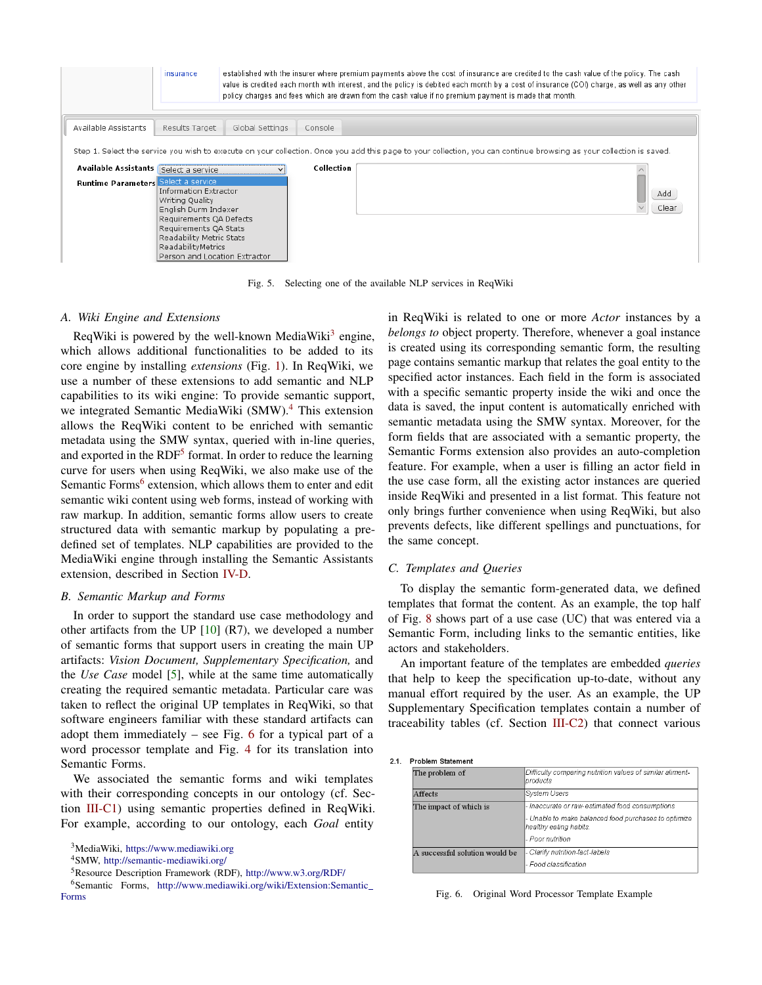

<span id="page-5-0"></span>Fig. 5. Selecting one of the available NLP services in ReqWiki

#### *A. Wiki Engine and Extensions*

ReqWiki is powered by the well-known MediaWiki<sup>[3](#page-5-1)</sup> engine, which allows additional functionalities to be added to its core engine by installing *extensions* (Fig. [1\)](#page-1-0). In ReqWiki, we use a number of these extensions to add semantic and NLP capabilities to its wiki engine: To provide semantic support, we integrated Semantic MediaWiki (SMW).<sup>[4](#page-5-2)</sup> This extension allows the ReqWiki content to be enriched with semantic metadata using the SMW syntax, queried with in-line queries, and exported in the RDF<sup>[5](#page-5-3)</sup> format. In order to reduce the learning curve for users when using ReqWiki, we also make use of the Semantic Forms<sup>[6](#page-5-4)</sup> extension, which allows them to enter and edit semantic wiki content using web forms, instead of working with raw markup. In addition, semantic forms allow users to create structured data with semantic markup by populating a predefined set of templates. NLP capabilities are provided to the MediaWiki engine through installing the Semantic Assistants extension, described in Section [IV-D.](#page-6-0)

#### *B. Semantic Markup and Forms*

In order to support the standard use case methodology and other artifacts from the UP [\[10\]](#page-9-9) (R7), we developed a number of semantic forms that support users in creating the main UP artifacts: *Vision Document, Supplementary Specification,* and the *Use Case* model [\[5\]](#page-9-4), while at the same time automatically creating the required semantic metadata. Particular care was taken to reflect the original UP templates in ReqWiki, so that software engineers familiar with these standard artifacts can adopt them immediately  $-$  see Fig. [6](#page-5-5) for a typical part of a word processor template and Fig. [4](#page-4-1) for its translation into Semantic Forms.

We associated the semantic forms and wiki templates with their corresponding concepts in our ontology (cf. Section [III-C1\)](#page-2-2) using semantic properties defined in ReqWiki. For example, according to our ontology, each *Goal* entity

<span id="page-5-2"></span><sup>4</sup>SMW, <http://semantic-mediawiki.org/>

in ReqWiki is related to one or more *Actor* instances by a *belongs to* object property. Therefore, whenever a goal instance is created using its corresponding semantic form, the resulting page contains semantic markup that relates the goal entity to the specified actor instances. Each field in the form is associated with a specific semantic property inside the wiki and once the data is saved, the input content is automatically enriched with semantic metadata using the SMW syntax. Moreover, for the form fields that are associated with a semantic property, the Semantic Forms extension also provides an auto-completion feature. For example, when a user is filling an actor field in the use case form, all the existing actor instances are queried inside ReqWiki and presented in a list format. This feature not only brings further convenience when using ReqWiki, but also prevents defects, like different spellings and punctuations, for the same concept.

#### *C. Templates and Queries*

To display the semantic form-generated data, we defined templates that format the content. As an example, the top half of Fig. [8](#page-7-0) shows part of a use case (UC) that was entered via a Semantic Form, including links to the semantic entities, like actors and stakeholders.

An important feature of the templates are embedded *queries* that help to keep the specification up-to-date, without any manual effort required by the user. As an example, the UP Supplementary Specification templates contain a number of traceability tables (cf. Section [III-C2\)](#page-3-1) that connect various

| The problem of                 | Difficulty comparing nutrition values of similar aliment-<br>products          |
|--------------------------------|--------------------------------------------------------------------------------|
| Affects                        | System Users                                                                   |
| The impact of which is         | - Inaccurate or raw-estimated food consumptions                                |
|                                | - Unable to make balanced food purchases to optimize<br>healthy eating habits. |
|                                | - Poor nutrition                                                               |
| A successful solution would be | - Clarify nutrition-fact-labels                                                |
|                                | - Food classification                                                          |

<span id="page-5-5"></span>Fig. 6. Original Word Processor Template Example

<span id="page-5-1"></span><sup>3</sup>MediaWiki, <https://www.mediawiki.org>

<span id="page-5-4"></span><span id="page-5-3"></span><sup>5</sup>Resource Description Framework (RDF), <http://www.w3.org/RDF/>

<sup>6</sup>Semantic Forms, [http://www.mediawiki.org/wiki/Extension:Semantic](http://www.mediawiki.org/wiki/Extension:Semantic_Forms) [Forms](http://www.mediawiki.org/wiki/Extension:Semantic_Forms)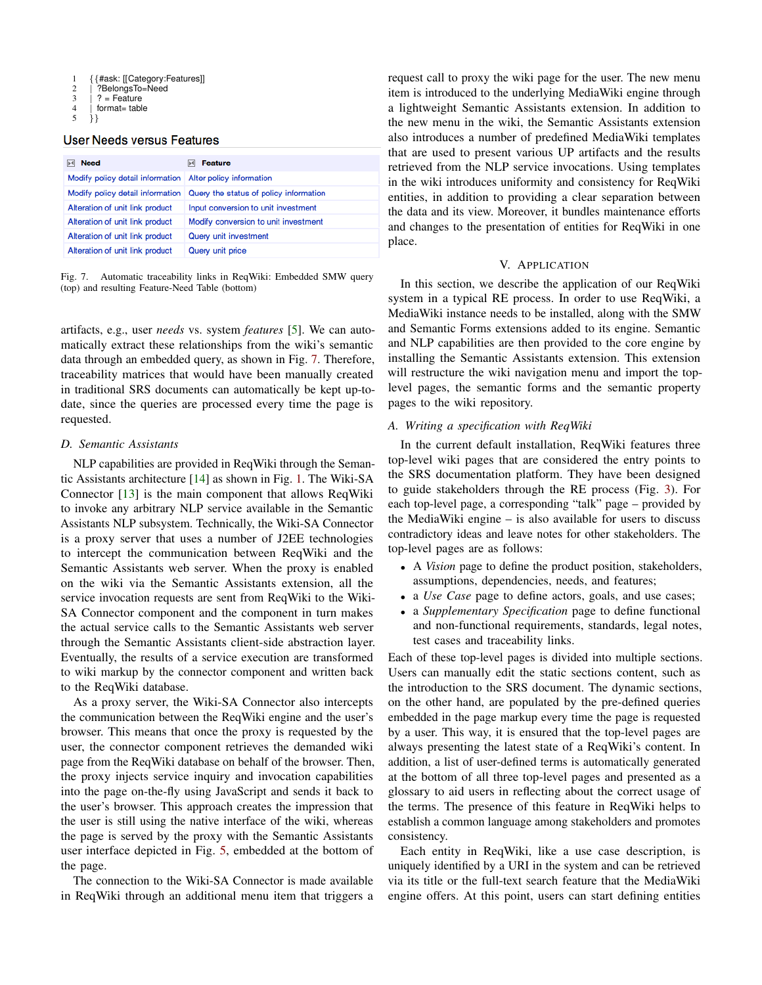| {{#ask: [[Category:Features]] |
|-------------------------------|
| ?BelongsTo=Need               |

- $3 \mid ? =$  Feature<br>4 | format= tabl
- $\begin{array}{cc} 4 & | \text{ format} = \text{table} \\ 5 & \} \end{array}$ 5 }}

#### **User Needs versus Features**

| <b>Need</b>                      | <b>Feature</b>                         |
|----------------------------------|----------------------------------------|
| Modify policy detail information | Alter policy information               |
| Modify policy detail information | Query the status of policy information |
| Alteration of unit link product  | Input conversion to unit investment    |
| Alteration of unit link product  | Modify conversion to unit investment   |
| Alteration of unit link product  | Query unit investment                  |
| Alteration of unit link product  | Query unit price                       |

<span id="page-6-1"></span>Fig. 7. Automatic traceability links in ReqWiki: Embedded SMW query (top) and resulting Feature-Need Table (bottom)

artifacts, e.g., user *needs* vs. system *features* [\[5\]](#page-9-4). We can automatically extract these relationships from the wiki's semantic data through an embedded query, as shown in Fig. [7.](#page-6-1) Therefore, traceability matrices that would have been manually created in traditional SRS documents can automatically be kept up-todate, since the queries are processed every time the page is requested.

#### <span id="page-6-0"></span>*D. Semantic Assistants*

NLP capabilities are provided in ReqWiki through the Semantic Assistants architecture [\[14\]](#page-9-13) as shown in Fig. [1.](#page-1-0) The Wiki-SA Connector [\[13\]](#page-9-12) is the main component that allows ReqWiki to invoke any arbitrary NLP service available in the Semantic Assistants NLP subsystem. Technically, the Wiki-SA Connector is a proxy server that uses a number of J2EE technologies to intercept the communication between ReqWiki and the Semantic Assistants web server. When the proxy is enabled on the wiki via the Semantic Assistants extension, all the service invocation requests are sent from ReqWiki to the Wiki-SA Connector component and the component in turn makes the actual service calls to the Semantic Assistants web server through the Semantic Assistants client-side abstraction layer. Eventually, the results of a service execution are transformed to wiki markup by the connector component and written back to the ReqWiki database.

As a proxy server, the Wiki-SA Connector also intercepts the communication between the ReqWiki engine and the user's browser. This means that once the proxy is requested by the user, the connector component retrieves the demanded wiki page from the ReqWiki database on behalf of the browser. Then, the proxy injects service inquiry and invocation capabilities into the page on-the-fly using JavaScript and sends it back to the user's browser. This approach creates the impression that the user is still using the native interface of the wiki, whereas the page is served by the proxy with the Semantic Assistants user interface depicted in Fig. [5,](#page-5-0) embedded at the bottom of the page.

The connection to the Wiki-SA Connector is made available in ReqWiki through an additional menu item that triggers a

request call to proxy the wiki page for the user. The new menu item is introduced to the underlying MediaWiki engine through a lightweight Semantic Assistants extension. In addition to the new menu in the wiki, the Semantic Assistants extension also introduces a number of predefined MediaWiki templates that are used to present various UP artifacts and the results retrieved from the NLP service invocations. Using templates in the wiki introduces uniformity and consistency for ReqWiki entities, in addition to providing a clear separation between the data and its view. Moreover, it bundles maintenance efforts and changes to the presentation of entities for ReqWiki in one place.

# V. APPLICATION

In this section, we describe the application of our ReqWiki system in a typical RE process. In order to use ReqWiki, a MediaWiki instance needs to be installed, along with the SMW and Semantic Forms extensions added to its engine. Semantic and NLP capabilities are then provided to the core engine by installing the Semantic Assistants extension. This extension will restructure the wiki navigation menu and import the toplevel pages, the semantic forms and the semantic property pages to the wiki repository.

# *A. Writing a specification with ReqWiki*

In the current default installation, ReqWiki features three top-level wiki pages that are considered the entry points to the SRS documentation platform. They have been designed to guide stakeholders through the RE process (Fig. [3\)](#page-3-0). For each top-level page, a corresponding "talk" page – provided by the MediaWiki engine – is also available for users to discuss contradictory ideas and leave notes for other stakeholders. The top-level pages are as follows:

- A *Vision* page to define the product position, stakeholders, assumptions, dependencies, needs, and features;
- a *Use Case* page to define actors, goals, and use cases;
- a *Supplementary Specification* page to define functional and non-functional requirements, standards, legal notes, test cases and traceability links.

Each of these top-level pages is divided into multiple sections. Users can manually edit the static sections content, such as the introduction to the SRS document. The dynamic sections, on the other hand, are populated by the pre-defined queries embedded in the page markup every time the page is requested by a user. This way, it is ensured that the top-level pages are always presenting the latest state of a ReqWiki's content. In addition, a list of user-defined terms is automatically generated at the bottom of all three top-level pages and presented as a glossary to aid users in reflecting about the correct usage of the terms. The presence of this feature in ReqWiki helps to establish a common language among stakeholders and promotes consistency.

Each entity in ReqWiki, like a use case description, is uniquely identified by a URI in the system and can be retrieved via its title or the full-text search feature that the MediaWiki engine offers. At this point, users can start defining entities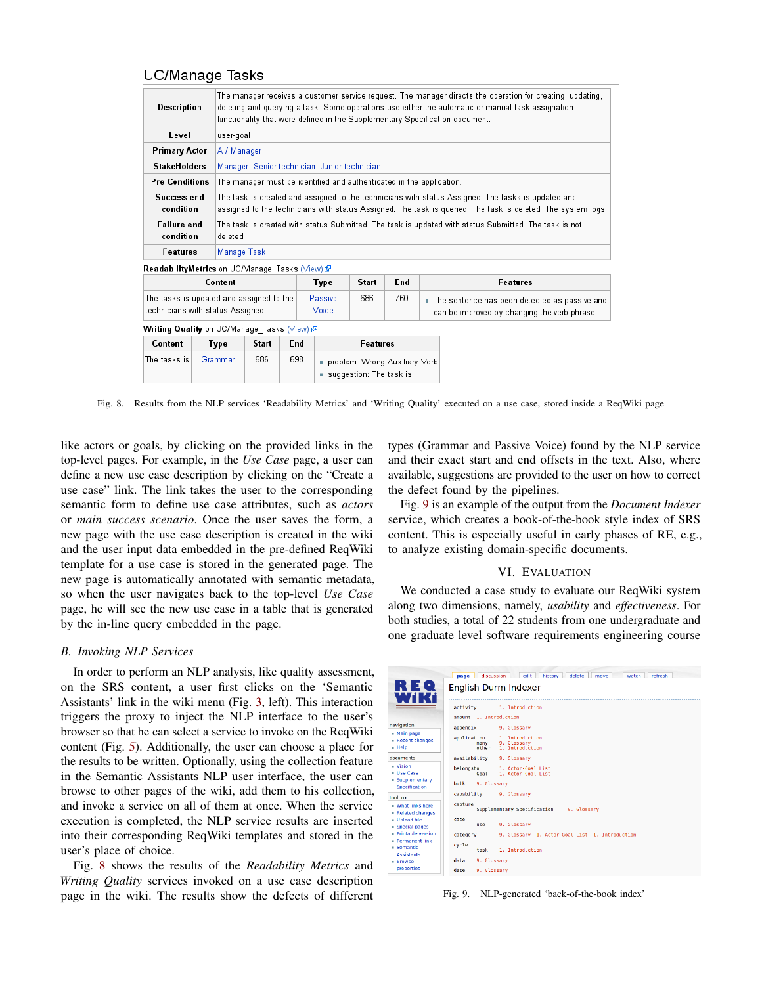# UC/Manage Tasks

| Description                                                                   |                                                               | The manager receives a customer service request. The manager directs the operation for creating, updating,<br>deleting and querying a task. Some operations use either the automatic or manual task assignation<br>functionality that were defined in the Supplementary Specification document. |     |                  |                                                                         |     |  |                                                                                                |  |  |  |
|-------------------------------------------------------------------------------|---------------------------------------------------------------|-------------------------------------------------------------------------------------------------------------------------------------------------------------------------------------------------------------------------------------------------------------------------------------------------|-----|------------------|-------------------------------------------------------------------------|-----|--|------------------------------------------------------------------------------------------------|--|--|--|
| l evel                                                                        |                                                               | user-goal                                                                                                                                                                                                                                                                                       |     |                  |                                                                         |     |  |                                                                                                |  |  |  |
| <b>Primary Actor</b>                                                          |                                                               | A / Manager                                                                                                                                                                                                                                                                                     |     |                  |                                                                         |     |  |                                                                                                |  |  |  |
| <b>StakeHolders</b>                                                           |                                                               | Manager, Senior technician, Junior technician                                                                                                                                                                                                                                                   |     |                  |                                                                         |     |  |                                                                                                |  |  |  |
| <b>Pre-Conditions</b>                                                         |                                                               | The manager must be identified and authenticated in the application.                                                                                                                                                                                                                            |     |                  |                                                                         |     |  |                                                                                                |  |  |  |
| <b>Success end</b><br>condition                                               |                                                               | The task is created and assigned to the technicians with status Assigned. The tasks is updated and<br>assigned to the technicians with status Assigned. The task is queried. The task is deleted. The system logs.                                                                              |     |                  |                                                                         |     |  |                                                                                                |  |  |  |
| Failure end<br>condition                                                      |                                                               | The task is created with status Submitted. The task is updated with status Submitted. The task is not<br>deleted.                                                                                                                                                                               |     |                  |                                                                         |     |  |                                                                                                |  |  |  |
| Features                                                                      |                                                               | Manage Task                                                                                                                                                                                                                                                                                     |     |                  |                                                                         |     |  |                                                                                                |  |  |  |
|                                                                               | R <b>eadabilityMetrics</b> on UC/Manage Tasks (View) <i>@</i> |                                                                                                                                                                                                                                                                                                 |     |                  |                                                                         |     |  |                                                                                                |  |  |  |
| Content                                                                       |                                                               |                                                                                                                                                                                                                                                                                                 |     | Type             | <b>Start</b>                                                            | End |  | <b>Features</b>                                                                                |  |  |  |
| The tasks is updated and assigned to the<br>technicians with status Assigned. |                                                               |                                                                                                                                                                                                                                                                                                 |     | Passive<br>Voice | 686                                                                     | 760 |  | . The sentence has been detected as passive and<br>can be improved by changing the verb phrase |  |  |  |
|                                                                               | Writing Quality on UC/Manage_Tasks (View) &                   |                                                                                                                                                                                                                                                                                                 |     |                  |                                                                         |     |  |                                                                                                |  |  |  |
| Content                                                                       | Type                                                          | <b>Start</b>                                                                                                                                                                                                                                                                                    | End |                  | <b>Features</b>                                                         |     |  |                                                                                                |  |  |  |
| The tasks is                                                                  | Grammar                                                       | 686                                                                                                                                                                                                                                                                                             | 698 |                  | problem: Wrong Auxiliary Verb<br>$\blacksquare$ suggestion: The task is |     |  |                                                                                                |  |  |  |

<span id="page-7-0"></span>Fig. 8. Results from the NLP services 'Readability Metrics' and 'Writing Quality' executed on a use case, stored inside a ReqWiki page

like actors or goals, by clicking on the provided links in the top-level pages. For example, in the *Use Case* page, a user can define a new use case description by clicking on the "Create a use case" link. The link takes the user to the corresponding semantic form to define use case attributes, such as *actors* or *main success scenario*. Once the user saves the form, a new page with the use case description is created in the wiki and the user input data embedded in the pre-defined ReqWiki template for a use case is stored in the generated page. The new page is automatically annotated with semantic metadata, so when the user navigates back to the top-level *Use Case* page, he will see the new use case in a table that is generated by the in-line query embedded in the page.

# *B. Invoking NLP Services*

In order to perform an NLP analysis, like quality assessment, on the SRS content, a user first clicks on the 'Semantic Assistants' link in the wiki menu (Fig. [3,](#page-3-0) left). This interaction triggers the proxy to inject the NLP interface to the user's browser so that he can select a service to invoke on the ReqWiki content (Fig. [5\)](#page-5-0). Additionally, the user can choose a place for the results to be written. Optionally, using the collection feature in the Semantic Assistants NLP user interface, the user can browse to other pages of the wiki, add them to his collection, and invoke a service on all of them at once. When the service execution is completed, the NLP service results are inserted into their corresponding ReqWiki templates and stored in the user's place of choice.

Fig. [8](#page-7-0) shows the results of the *Readability Metrics* and *Writing Quality* services invoked on a use case description page in the wiki. The results show the defects of different types (Grammar and Passive Voice) found by the NLP service and their exact start and end offsets in the text. Also, where available, suggestions are provided to the user on how to correct the defect found by the pipelines.

Fig. [9](#page-7-1) is an example of the output from the *Document Indexer* service, which creates a book-of-the-book style index of SRS content. This is especially useful in early phases of RE, e.g., to analyze existing domain-specific documents.

#### VI. EVALUATION

We conducted a case study to evaluate our ReqWiki system along two dimensions, namely, *usability* and *effectiveness*. For both studies, a total of 22 students from one undergraduate and one graduate level software requirements engineering course

|                                                                 | discussion<br>edit<br>history<br>delete<br>watch<br>refresh<br>page<br>move       |
|-----------------------------------------------------------------|-----------------------------------------------------------------------------------|
| REQ                                                             | English Durm Indexer                                                              |
| WiKi                                                            |                                                                                   |
|                                                                 | activity<br>1. Introduction                                                       |
|                                                                 | amount 1. Introduction                                                            |
| navigation                                                      | appendix<br>9. Glossary                                                           |
| · Main page<br>Recent changes<br>- Help                         | application<br>1. Introduction<br>9. Glossarv<br>many<br>1. Introduction<br>other |
| documents                                                       | availability<br>9. Glossary                                                       |
| - Vision<br><b>u</b> Use Case                                   | belongsto<br>1. Actor-Goal List<br>1. Actor-Goal List<br>Goal                     |
| <b>Supplementary</b><br><b>Specification</b>                    | <b>bulk</b><br>9. Glossary                                                        |
| toolbox                                                         | capability 9. Glossary                                                            |
| . What links here<br>Related changes                            | capture<br>Supplementary Specification<br>9. Glossary                             |
| · Upload file<br><b>Special pages</b>                           | case<br>9. Glossary<br>use                                                        |
| · Printable version                                             | category<br>9. Glossary 1. Actor-Goal List 1. Introduction                        |
| <b>B</b> Permanent link<br><b>Semantic</b><br><b>Assistants</b> | cycle<br>1. Introduction<br>task                                                  |
| <b>Browse</b>                                                   | 9. Glossary<br>data                                                               |
| properties                                                      | date<br>9. Glossarv                                                               |

<span id="page-7-1"></span>Fig. 9. NLP-generated 'back-of-the-book index'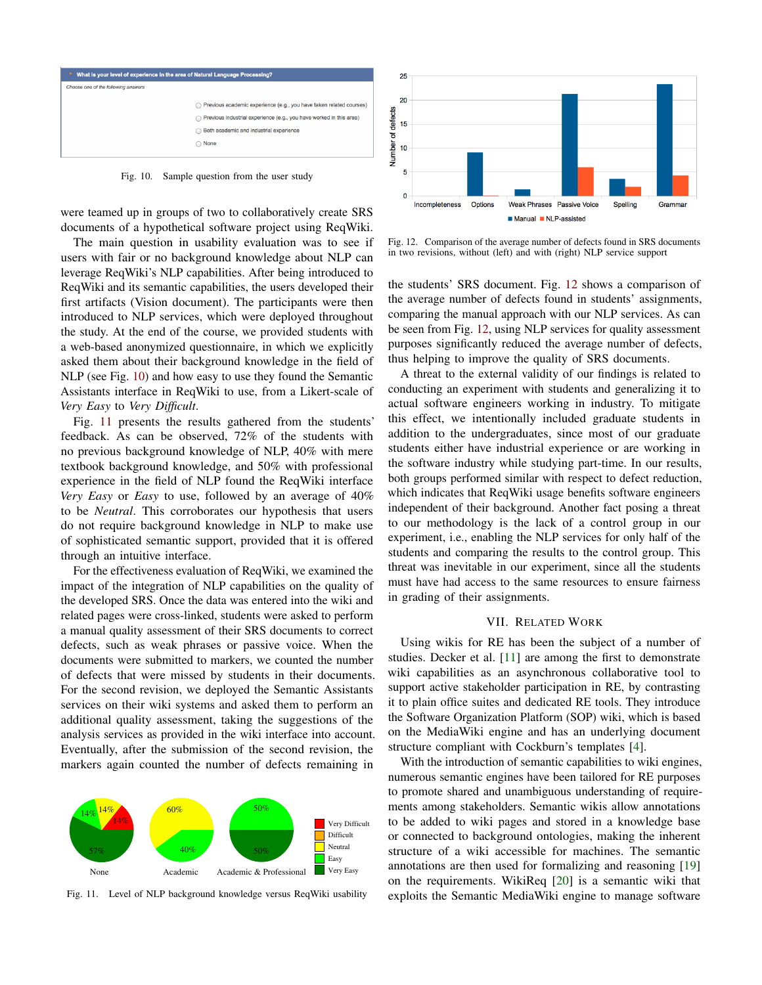

<span id="page-8-0"></span>Fig. 10. Sample question from the user study

were teamed up in groups of two to collaboratively create SRS documents of a hypothetical software project using ReqWiki.

The main question in usability evaluation was to see if users with fair or no background knowledge about NLP can leverage ReqWiki's NLP capabilities. After being introduced to ReqWiki and its semantic capabilities, the users developed their first artifacts (Vision document). The participants were then introduced to NLP services, which were deployed throughout the study. At the end of the course, we provided students with a web-based anonymized questionnaire, in which we explicitly asked them about their background knowledge in the field of NLP (see Fig. [10\)](#page-8-0) and how easy to use they found the Semantic Assistants interface in ReqWiki to use, from a Likert-scale of *Very Easy* to *Very Difficult*.

Fig. [11](#page-8-1) presents the results gathered from the students' feedback. As can be observed, 72% of the students with no previous background knowledge of NLP, 40% with mere textbook background knowledge, and 50% with professional experience in the field of NLP found the ReqWiki interface *Very Easy* or *Easy* to use, followed by an average of 40% to be *Neutral*. This corroborates our hypothesis that users do not require background knowledge in NLP to make use of sophisticated semantic support, provided that it is offered through an intuitive interface.

For the effectiveness evaluation of ReqWiki, we examined the impact of the integration of NLP capabilities on the quality of the developed SRS. Once the data was entered into the wiki and related pages were cross-linked, students were asked to perform a manual quality assessment of their SRS documents to correct defects, such as weak phrases or passive voice. When the documents were submitted to markers, we counted the number of defects that were missed by students in their documents. For the second revision, we deployed the Semantic Assistants services on their wiki systems and asked them to perform an additional quality assessment, taking the suggestions of the analysis services as provided in the wiki interface into account. Eventually, after the submission of the second revision, the markers again counted the number of defects remaining in



<span id="page-8-1"></span>Fig. 11. Level of NLP background knowledge versus ReqWiki usability



<span id="page-8-2"></span>Fig. 12. Comparison of the average number of defects found in SRS documents in two revisions, without (left) and with (right) NLP service support

the students' SRS document. Fig. [12](#page-8-2) shows a comparison of the average number of defects found in students' assignments, comparing the manual approach with our NLP services. As can be seen from Fig. [12,](#page-8-2) using NLP services for quality assessment purposes significantly reduced the average number of defects, thus helping to improve the quality of SRS documents.

A threat to the external validity of our findings is related to conducting an experiment with students and generalizing it to actual software engineers working in industry. To mitigate this effect, we intentionally included graduate students in addition to the undergraduates, since most of our graduate students either have industrial experience or are working in the software industry while studying part-time. In our results, both groups performed similar with respect to defect reduction, which indicates that ReqWiki usage benefits software engineers independent of their background. Another fact posing a threat to our methodology is the lack of a control group in our experiment, i.e., enabling the NLP services for only half of the students and comparing the results to the control group. This threat was inevitable in our experiment, since all the students must have had access to the same resources to ensure fairness in grading of their assignments.

#### VII. RELATED WORK

Using wikis for RE has been the subject of a number of studies. Decker et al. [\[11\]](#page-9-10) are among the first to demonstrate wiki capabilities as an asynchronous collaborative tool to support active stakeholder participation in RE, by contrasting it to plain office suites and dedicated RE tools. They introduce the Software Organization Platform (SOP) wiki, which is based on the MediaWiki engine and has an underlying document structure compliant with Cockburn's templates [\[4\]](#page-9-3).

With the introduction of semantic capabilities to wiki engines, numerous semantic engines have been tailored for RE purposes to promote shared and unambiguous understanding of requirements among stakeholders. Semantic wikis allow annotations to be added to wiki pages and stored in a knowledge base or connected to background ontologies, making the inherent structure of a wiki accessible for machines. The semantic annotations are then used for formalizing and reasoning [\[19\]](#page-9-18) on the requirements. WikiReq [\[20\]](#page-9-19) is a semantic wiki that exploits the Semantic MediaWiki engine to manage software